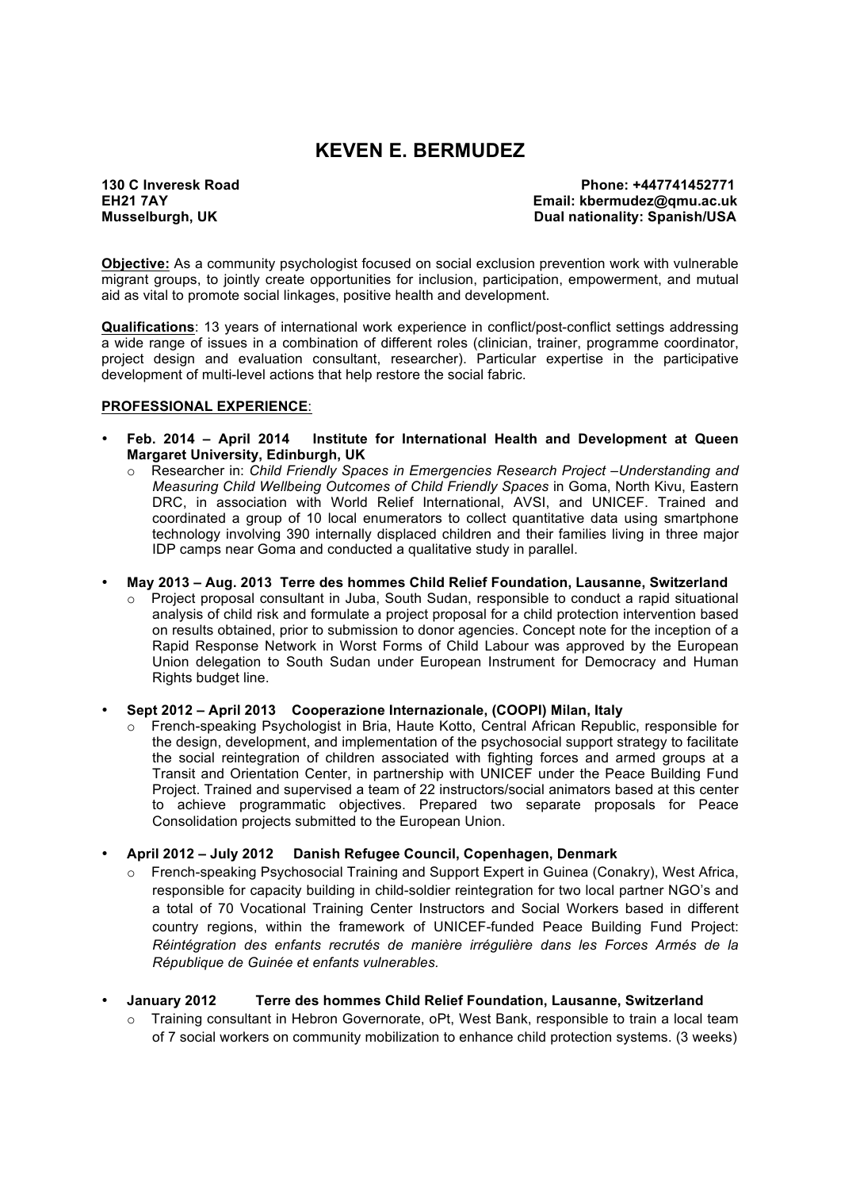# **KEVEN E. BERMUDEZ**

**130 C Inveresk Road Phone: +447741452771 Email: kbermudez@qmu.ac.uk Musselburgh, UK 1998 Contract and Sepanish Contract and Sepanish Contract and Dual nationality: Spanish/USA** 

**Objective:** As a community psychologist focused on social exclusion prevention work with vulnerable migrant groups, to jointly create opportunities for inclusion, participation, empowerment, and mutual aid as vital to promote social linkages, positive health and development.

**Qualifications**: 13 years of international work experience in conflict/post-conflict settings addressing a wide range of issues in a combination of different roles (clinician, trainer, programme coordinator, project design and evaluation consultant, researcher). Particular expertise in the participative development of multi-level actions that help restore the social fabric.

#### **PROFESSIONAL EXPERIENCE**:

- **Feb. 2014 – April 2014 Institute for International Health and Development at Queen Margaret University, Edinburgh, UK**
	- o Researcher in: *Child Friendly Spaces in Emergencies Research Project –Understanding and Measuring Child Wellbeing Outcomes of Child Friendly Spaces* in Goma, North Kivu, Eastern DRC, in association with World Relief International, AVSI, and UNICEF. Trained and coordinated a group of 10 local enumerators to collect quantitative data using smartphone technology involving 390 internally displaced children and their families living in three major IDP camps near Goma and conducted a qualitative study in parallel.

• **May 2013 – Aug. 2013 Terre des hommes Child Relief Foundation, Lausanne, Switzerland**

 $\circ$  Project proposal consultant in Juba, South Sudan, responsible to conduct a rapid situational analysis of child risk and formulate a project proposal for a child protection intervention based on results obtained, prior to submission to donor agencies. Concept note for the inception of a Rapid Response Network in Worst Forms of Child Labour was approved by the European Union delegation to South Sudan under European Instrument for Democracy and Human Rights budget line.

• **Sept 2012 – April 2013 Cooperazione Internazionale, (COOPI) Milan, Italy**

French-speaking Psychologist in Bria, Haute Kotto, Central African Republic, responsible for the design, development, and implementation of the psychosocial support strategy to facilitate the social reintegration of children associated with fighting forces and armed groups at a Transit and Orientation Center, in partnership with UNICEF under the Peace Building Fund Project. Trained and supervised a team of 22 instructors/social animators based at this center to achieve programmatic objectives. Prepared two separate proposals for Peace Consolidation projects submitted to the European Union.

• **April 2012 – July 2012 Danish Refugee Council, Copenhagen, Denmark**

French-speaking Psychosocial Training and Support Expert in Guinea (Conakry), West Africa, responsible for capacity building in child-soldier reintegration for two local partner NGO's and a total of 70 Vocational Training Center Instructors and Social Workers based in different country regions, within the framework of UNICEF-funded Peace Building Fund Project: *Réintégration des enfants recrutés de manière irrégulière dans les Forces Armés de la République de Guinée et enfants vulnerables.*

#### • **January 2012 Terre des hommes Child Relief Foundation, Lausanne, Switzerland**

 $\circ$  Training consultant in Hebron Governorate, oPt, West Bank, responsible to train a local team of 7 social workers on community mobilization to enhance child protection systems. (3 weeks)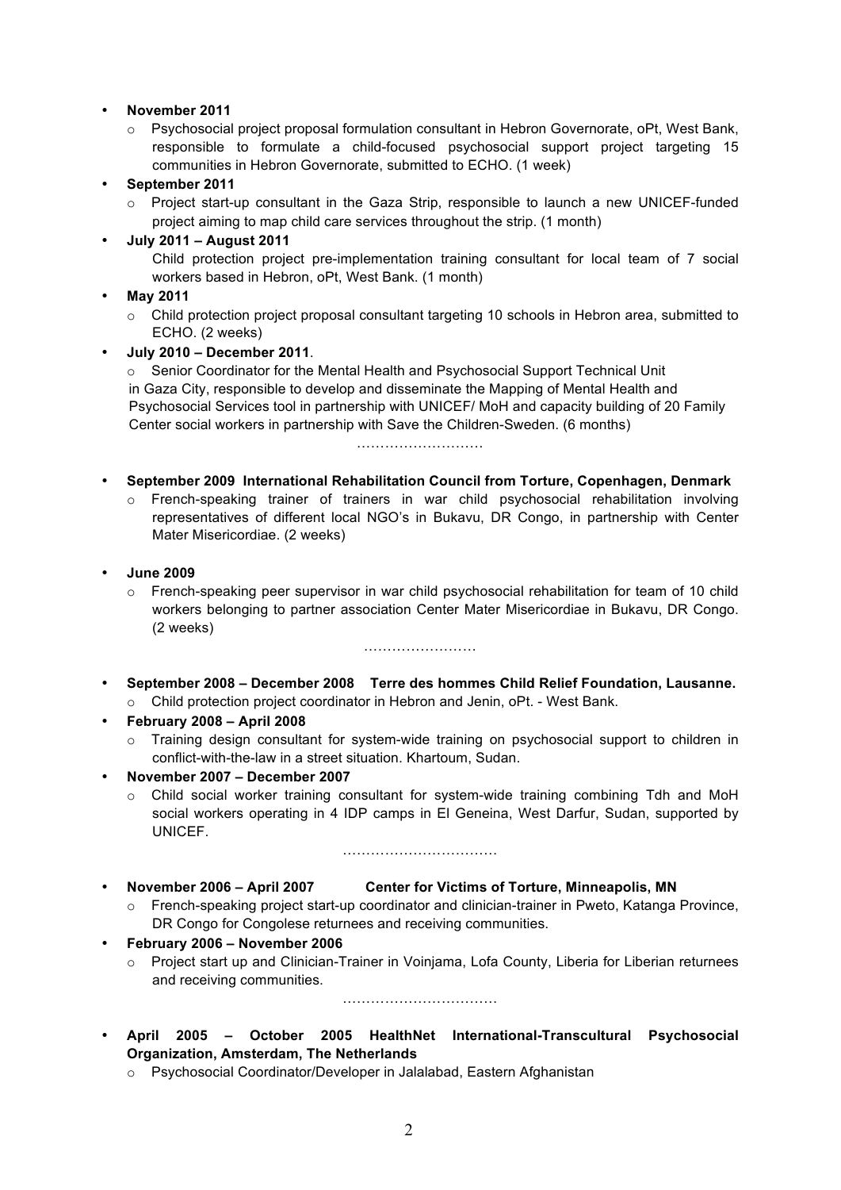### • **November 2011**

 $\circ$  Psychosocial project proposal formulation consultant in Hebron Governorate, oPt, West Bank, responsible to formulate a child-focused psychosocial support project targeting 15 communities in Hebron Governorate, submitted to ECHO. (1 week)

### • **September 2011**

 $\circ$  Project start-up consultant in the Gaza Strip, responsible to launch a new UNICEF-funded project aiming to map child care services throughout the strip. (1 month)

### • **July 2011 – August 2011**

Child protection project pre-implementation training consultant for local team of 7 social workers based in Hebron, oPt, West Bank. (1 month)

### • **May 2011**

o Child protection project proposal consultant targeting 10 schools in Hebron area, submitted to ECHO. (2 weeks)

### • **July 2010 – December 2011**.

o Senior Coordinator for the Mental Health and Psychosocial Support Technical Unit in Gaza City, responsible to develop and disseminate the Mapping of Mental Health and Psychosocial Services tool in partnership with UNICEF/ MoH and capacity building of 20 Family Center social workers in partnership with Save the Children-Sweden. (6 months)

………………………

### • **September 2009 International Rehabilitation Council from Torture, Copenhagen, Denmark**

- $\circ$  French-speaking trainer of trainers in war child psychosocial rehabilitation involving representatives of different local NGO's in Bukavu, DR Congo, in partnership with Center Mater Misericordiae. (2 weeks)
- **June 2009**
	- o French-speaking peer supervisor in war child psychosocial rehabilitation for team of 10 child workers belonging to partner association Center Mater Misericordiae in Bukavu, DR Congo. (2 weeks)

……………………

- **September 2008 – December 2008 Terre des hommes Child Relief Foundation, Lausanne.** 
	- o Child protection project coordinator in Hebron and Jenin, oPt. West Bank.
- **February 2008 – April 2008**
	- $\circ$  Training design consultant for system-wide training on psychosocial support to children in conflict-with-the-law in a street situation. Khartoum, Sudan.
- **November 2007 – December 2007**
	- o Child social worker training consultant for system-wide training combining Tdh and MoH social workers operating in 4 IDP camps in El Geneina, West Darfur, Sudan, supported by UNICEF.

……………………………

## • **November 2006 – April 2007 Center for Victims of Torture, Minneapolis, MN**

o French-speaking project start-up coordinator and clinician-trainer in Pweto, Katanga Province, DR Congo for Congolese returnees and receiving communities.

#### • **February 2006 – November 2006**

o Project start up and Clinician-Trainer in Voinjama, Lofa County, Liberia for Liberian returnees and receiving communities.

……………………………

- **April 2005 – October 2005 HealthNet International-Transcultural Psychosocial Organization, Amsterdam, The Netherlands**
	- o Psychosocial Coordinator/Developer in Jalalabad, Eastern Afghanistan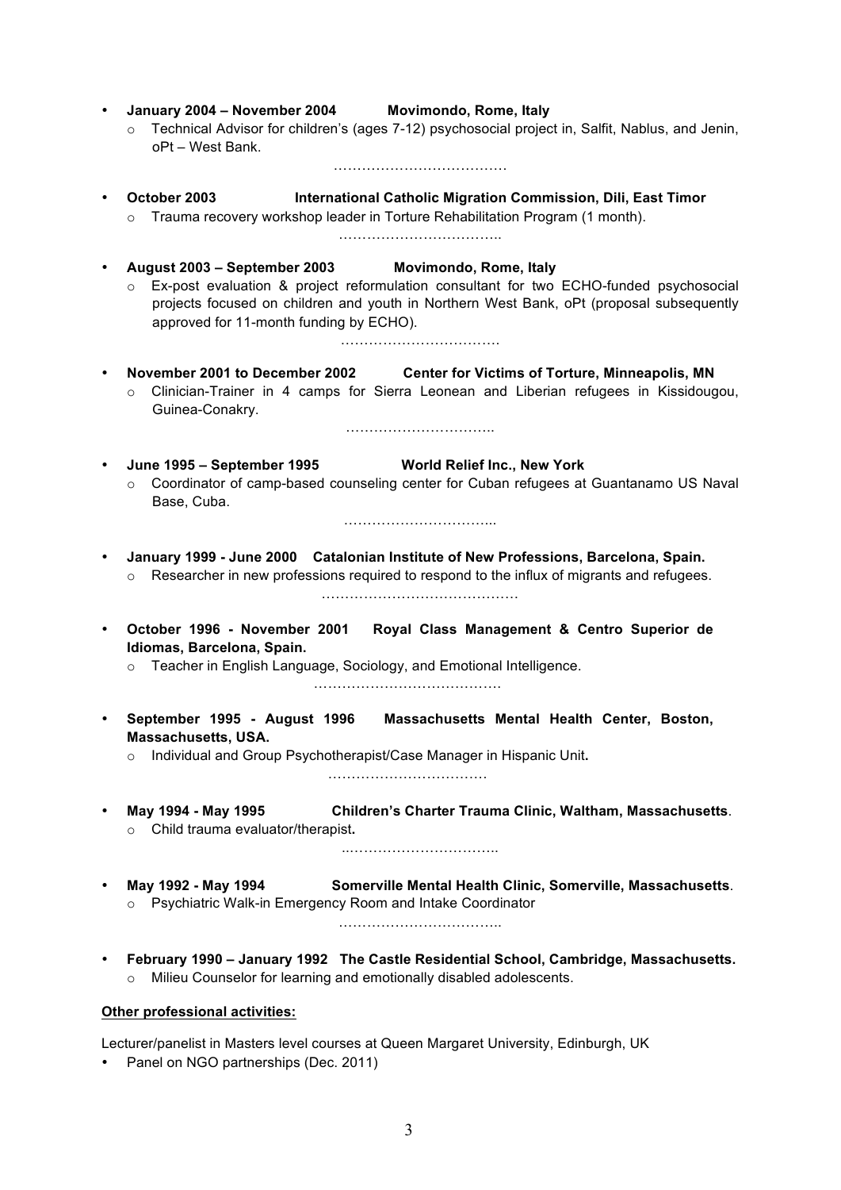- **January 2004 – November 2004 Movimondo, Rome, Italy**
	- o Technical Advisor for children's (ages 7-12) psychosocial project in, Salfit, Nablus, and Jenin, oPt – West Bank.
		- ……………………………….
- **October 2003 International Catholic Migration Commission, Dili, East Timor**
	- o Trauma recovery workshop leader in Torture Rehabilitation Program (1 month). ……………………………..
- **August 2003 – September 2003 Movimondo, Rome, Italy**
	- o Ex-post evaluation & project reformulation consultant for two ECHO-funded psychosocial projects focused on children and youth in Northern West Bank, oPt (proposal subsequently approved for 11-month funding by ECHO).
- **November 2001 to December 2002 Center for Victims of Torture, Minneapolis, MN**

…………………………….

- o Clinician-Trainer in 4 camps for Sierra Leonean and Liberian refugees in Kissidougou, Guinea-Conakry.
- **June 1995 – September 1995 World Relief Inc., New York** o Coordinator of camp-based counseling center for Cuban refugees at Guantanamo US Naval Base, Cuba.

…………………………..

…………………………...

• **January 1999 - June 2000 Catalonian Institute of New Professions, Barcelona, Spain.**   $\circ$  Researcher in new professions required to respond to the influx of migrants and refugees.

……………………………………

- **October 1996 - November 2001 Royal Class Management & Centro Superior de Idiomas, Barcelona, Spain.** 
	- o Teacher in English Language, Sociology, and Emotional Intelligence.

………………………………….

• **September 1995 - August 1996 Massachusetts Mental Health Center, Boston, Massachusetts, USA.** 

o Individual and Group Psychotherapist/Case Manager in Hispanic Unit**.**

…………………………….

• **May 1994 - May 1995 Children's Charter Trauma Clinic, Waltham, Massachusetts**. o Child trauma evaluator/therapist**.**

..…………………………..

• **May 1992 - May 1994 Somerville Mental Health Clinic, Somerville, Massachusetts**. o Psychiatric Walk-in Emergency Room and Intake Coordinator

……………………………..

• **February 1990 – January 1992 The Castle Residential School, Cambridge, Massachusetts.**  o Milieu Counselor for learning and emotionally disabled adolescents.

#### **Other professional activities:**

Lecturer/panelist in Masters level courses at Queen Margaret University, Edinburgh, UK

• Panel on NGO partnerships (Dec. 2011)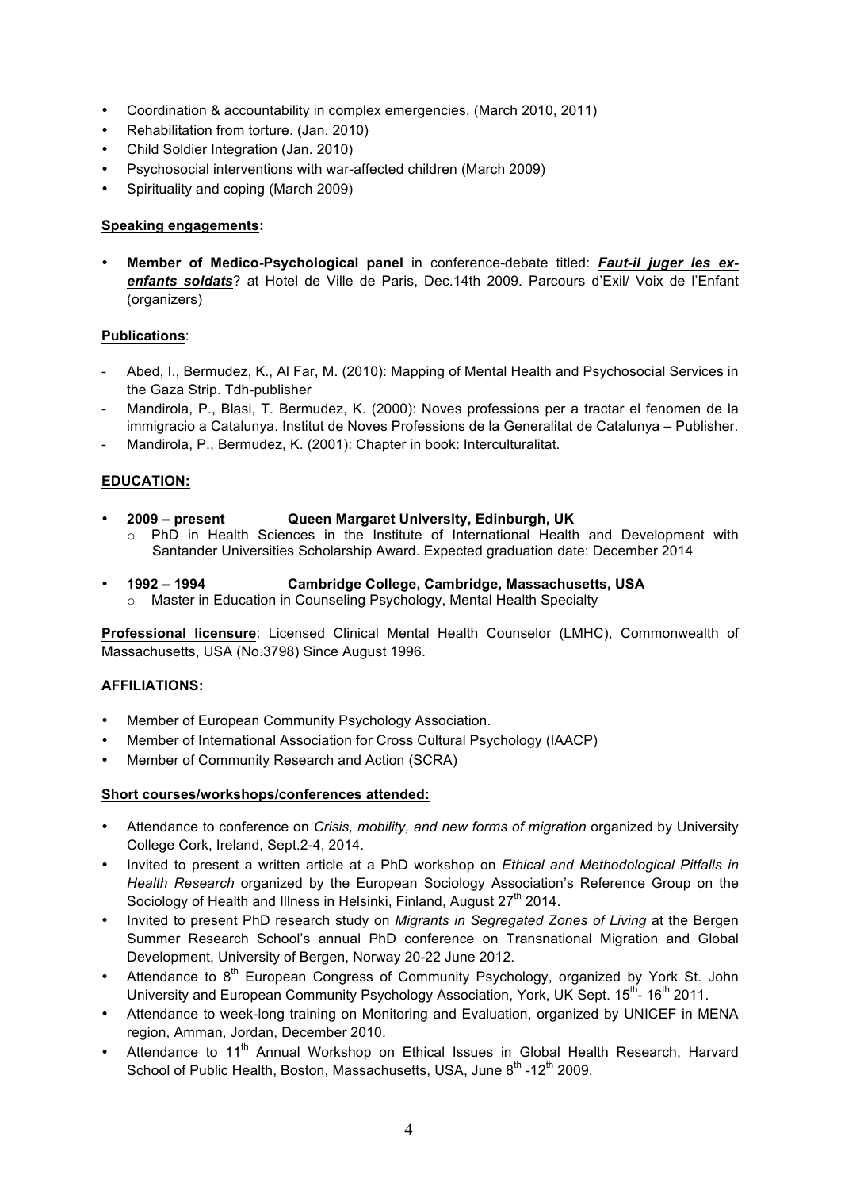- Coordination & accountability in complex emergencies. (March 2010, 2011)
- Rehabilitation from torture. (Jan. 2010)
- Child Soldier Integration (Jan. 2010)
- Psychosocial interventions with war-affected children (March 2009)
- Spirituality and coping (March 2009)

#### **Speaking engagements:**

• **Member of Medico-Psychological panel** in conference-debate titled: *Faut-il juger les exenfants soldats*? at Hotel de Ville de Paris, Dec.14th 2009. Parcours d'Exil/ Voix de l'Enfant (organizers)

#### **Publications**:

- Abed, I., Bermudez, K., Al Far, M. (2010): Mapping of Mental Health and Psychosocial Services in the Gaza Strip. Tdh-publisher
- Mandirola, P., Blasi, T. Bermudez, K. (2000): Noves professions per a tractar el fenomen de la immigracio a Catalunya. Institut de Noves Professions de la Generalitat de Catalunya – Publisher.
- Mandirola, P., Bermudez, K. (2001): Chapter in book: Interculturalitat.

## **EDUCATION:**

- **2009 – present Queen Margaret University, Edinburgh, UK**
	- PhD in Health Sciences in the Institute of International Health and Development with Santander Universities Scholarship Award. Expected graduation date: December 2014
- **1992 – 1994 Cambridge College, Cambridge, Massachusetts, USA** 
	- o Master in Education in Counseling Psychology, Mental Health Specialty

**Professional licensure**: Licensed Clinical Mental Health Counselor (LMHC), Commonwealth of Massachusetts, USA (No.3798) Since August 1996.

#### **AFFILIATIONS:**

- Member of European Community Psychology Association.
- Member of International Association for Cross Cultural Psychology (IAACP)
- Member of Community Research and Action (SCRA)

#### **Short courses/workshops/conferences attended:**

- Attendance to conference on *Crisis, mobility, and new forms of migration* organized by University College Cork, Ireland, Sept.2-4, 2014.
- Invited to present a written article at a PhD workshop on *Ethical and Methodological Pitfalls in Health Research* organized by the European Sociology Association's Reference Group on the Sociology of Health and Illness in Helsinki, Finland, August 27<sup>th</sup> 2014.
- Invited to present PhD research study on *Migrants in Segregated Zones of Living* at the Bergen Summer Research School's annual PhD conference on Transnational Migration and Global Development, University of Bergen, Norway 20-22 June 2012.
- Attendance to 8<sup>th</sup> European Congress of Community Psychology, organized by York St. John University and European Community Psychology Association, York, UK Sept.  $15^{th}$ -  $16^{th}$  2011.
- Attendance to week-long training on Monitoring and Evaluation, organized by UNICEF in MENA region, Amman, Jordan, December 2010.
- Attendance to 11<sup>th</sup> Annual Workshop on Ethical Issues in Global Health Research, Harvard School of Public Health, Boston, Massachusetts, USA, June 8<sup>th</sup> -12<sup>th</sup> 2009.